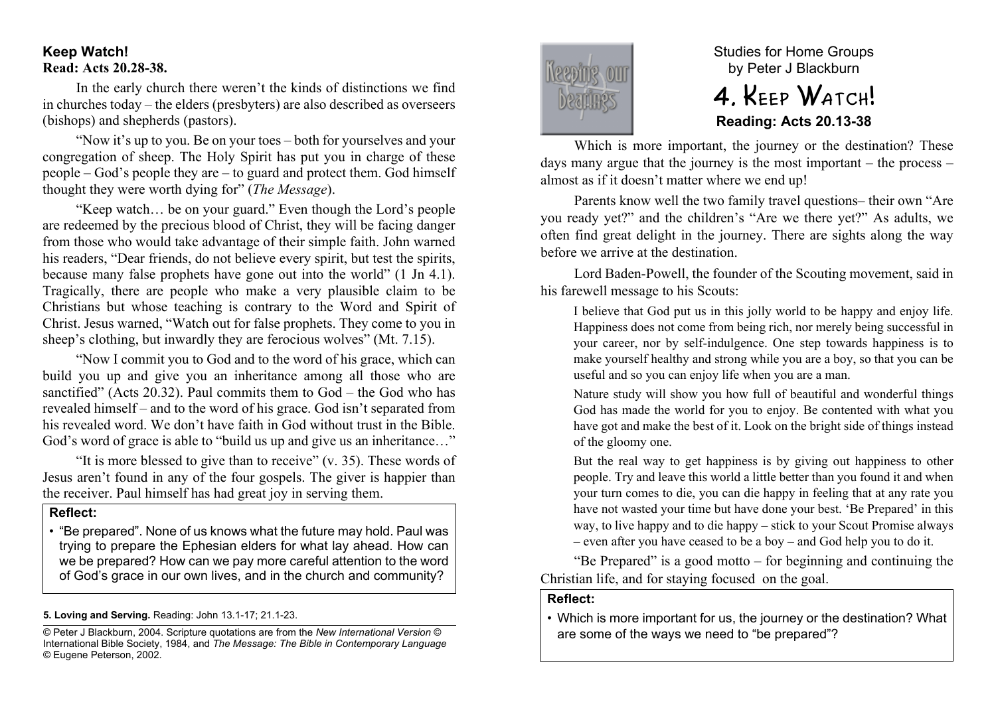# **Keep Watch! Read: Acts 20.28-38.**

In the early church there weren't the kinds of distinctions we find in churches today – the elders (presbyters) are also described as overseers (bishops) and shepherds (pastors).

"Now it's up to you. Be on your toes – both for yourselves and your congregation of sheep. The Holy Spirit has put you in charge of these people – God's people they are – to guard and protect them. God himself thought they were worth dying for" (*The Message*).

"Keep watch… be on your guard." Even though the Lord's people are redeemed by the precious blood of Christ, they will be facing danger from those who would take advantage of their simple faith. John warned his readers, "Dear friends, do not believe every spirit, but test the spirits, because many false prophets have gone out into the world" (1 Jn 4.1). Tragically, there are people who make a very plausible claim to be Christians but whose teaching is contrary to the Word and Spirit of Christ. Jesus warned, "Watch out for false prophets. They come to you in sheep's clothing, but inwardly they are ferocious wolves" (Mt. 7.15).

"Now I commit you to God and to the word of his grace, which can build you up and give you an inheritance among all those who are sanctified" (Acts 20.32). Paul commits them to God – the God who has revealed himself – and to the word of his grace. God isn't separated from his revealed word. We don't have faith in God without trust in the Bible. God's word of grace is able to "build us up and give us an inheritance…"

"It is more blessed to give than to receive"  $(v, 35)$ . These words of Jesus aren't found in any of the four gospels. The giver is happier than the receiver. Paul himself has had great joy in serving them.

#### **Reflect:**

• "Be prepared". None of us knows what the future may hold. Paul was trying to prepare the Ephesian elders for what lay ahead. How can we be prepared? How can we pay more careful attention to the word of God's grace in our own lives, and in the church and community?

#### **5. Loving and Serving.** Reading: John 13.1-17; 21.1-23.

© Peter J Blackburn, 2004. Scripture quotations are from the *New International Version* © International Bible Society, 1984, and *The Message: The Bible in Contemporary Language* © Eugene Peterson, 2002.



Studies for Home Groups by Peter J Blackburn

# 4. KEEP WATCH! **Reading: Acts 20.13-38**

Which is more important, the journey or the destination? These days many argue that the journey is the most important – the process – almost as if it doesn't matter where we end up!

Parents know well the two family travel questions– their own "Are you ready yet?" and the children's "Are we there yet?" As adults, we often find great delight in the journey. There are sights along the way before we arrive at the destination.

Lord Baden-Powell, the founder of the Scouting movement, said in his farewell message to his Scouts:

I believe that God put us in this jolly world to be happy and enjoy life. Happiness does not come from being rich, nor merely being successful in your career, nor by self-indulgence. One step towards happiness is to make yourself healthy and strong while you are a boy, so that you can be useful and so you can enjoy life when you are a man.

Nature study will show you how full of beautiful and wonderful things God has made the world for you to enjoy. Be contented with what you have got and make the best of it. Look on the bright side of things instead of the gloomy one.

But the real way to get happiness is by giving out happiness to other people. Try and leave this world a little better than you found it and when your turn comes to die, you can die happy in feeling that at any rate you have not wasted your time but have done your best. 'Be Prepared' in this way, to live happy and to die happy – stick to your Scout Promise always – even after you have ceased to be a boy – and God help you to do it.

"Be Prepared" is a good motto – for beginning and continuing the Christian life, and for staying focused on the goal.

## **Reflect:**

• Which is more important for us, the journey or the destination? What are some of the ways we need to "be prepared"?